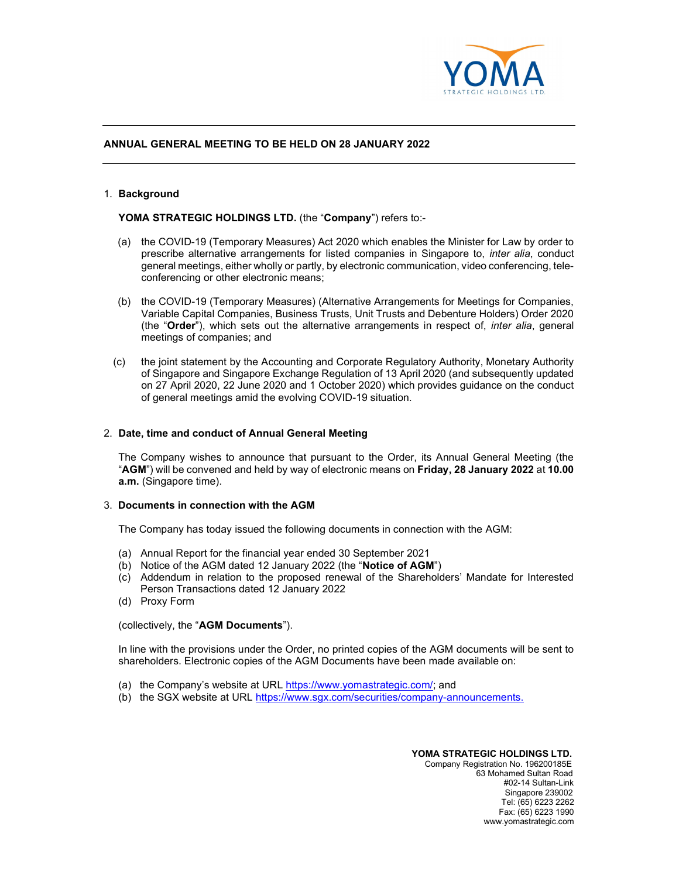

# ANNUAL GENERAL MEETING TO BE HELD ON 28 JANUARY 2022

### 1. Background

YOMA STRATEGIC HOLDINGS LTD. (the "Company") refers to:-

- (a) the COVID-19 (Temporary Measures) Act 2020 which enables the Minister for Law by order to prescribe alternative arrangements for listed companies in Singapore to, inter alia, conduct general meetings, either wholly or partly, by electronic communication, video conferencing, teleconferencing or other electronic means;
- (b) the COVID-19 (Temporary Measures) (Alternative Arrangements for Meetings for Companies, Variable Capital Companies, Business Trusts, Unit Trusts and Debenture Holders) Order 2020 (the "Order"), which sets out the alternative arrangements in respect of, *inter alia*, general meetings of companies; and
- (c) the joint statement by the Accounting and Corporate Regulatory Authority, Monetary Authority of Singapore and Singapore Exchange Regulation of 13 April 2020 (and subsequently updated on 27 April 2020, 22 June 2020 and 1 October 2020) which provides guidance on the conduct of general meetings amid the evolving COVID-19 situation.

## 2. Date, time and conduct of Annual General Meeting

The Company wishes to announce that pursuant to the Order, its Annual General Meeting (the "AGM") will be convened and held by way of electronic means on Friday, 28 January 2022 at 10.00 a.m. (Singapore time).

#### 3. Documents in connection with the AGM

The Company has today issued the following documents in connection with the AGM:

- (a) Annual Report for the financial year ended 30 September 2021
- (b) Notice of the AGM dated 12 January 2022 (the "Notice of AGM")
- (c) Addendum in relation to the proposed renewal of the Shareholders' Mandate for Interested Person Transactions dated 12 January 2022
- (d) Proxy Form

(collectively, the "AGM Documents").

In line with the provisions under the Order, no printed copies of the AGM documents will be sent to shareholders. Electronic copies of the AGM Documents have been made available on:

- (a) the Company's website at URL https://www.yomastrategic.com/; and
- (b) the SGX website at URL https://www.sgx.com/securities/company-announcements.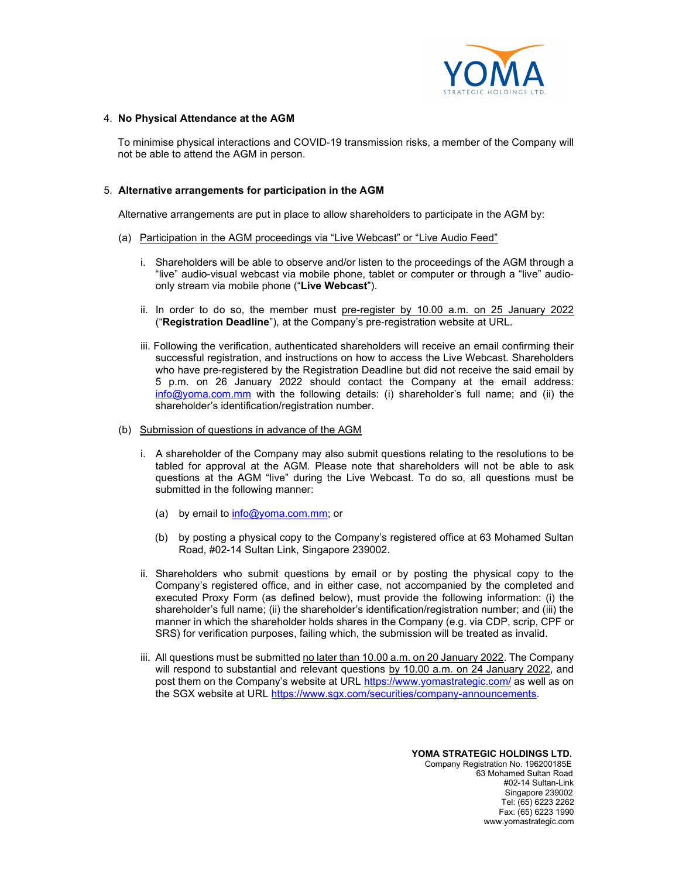

# 4. No Physical Attendance at the AGM

To minimise physical interactions and COVID-19 transmission risks, a member of the Company will not be able to attend the AGM in person.

# 5. Alternative arrangements for participation in the AGM

Alternative arrangements are put in place to allow shareholders to participate in the AGM by:

- (a) Participation in the AGM proceedings via "Live Webcast" or "Live Audio Feed"
	- i. Shareholders will be able to observe and/or listen to the proceedings of the AGM through a "live" audio-visual webcast via mobile phone, tablet or computer or through a "live" audioonly stream via mobile phone ("Live Webcast").
	- ii. In order to do so, the member must pre-register by 10.00 a.m. on 25 January 2022 ("Registration Deadline"), at the Company's pre-registration website at URL.
	- iii. Following the verification, authenticated shareholders will receive an email confirming their successful registration, and instructions on how to access the Live Webcast. Shareholders who have pre-registered by the Registration Deadline but did not receive the said email by 5 p.m. on 26 January 2022 should contact the Company at the email address: info@yoma.com.mm with the following details: (i) shareholder's full name; and (ii) the shareholder's identification/registration number.
- (b) Submission of questions in advance of the AGM
	- i. A shareholder of the Company may also submit questions relating to the resolutions to be tabled for approval at the AGM. Please note that shareholders will not be able to ask questions at the AGM "live" during the Live Webcast. To do so, all questions must be submitted in the following manner:
		- (a) by email to  $info@yoma.com.mm$ ; or
		- (b) by posting a physical copy to the Company's registered office at 63 Mohamed Sultan Road, #02-14 Sultan Link, Singapore 239002.
	- ii. Shareholders who submit questions by email or by posting the physical copy to the Company's registered office, and in either case, not accompanied by the completed and executed Proxy Form (as defined below), must provide the following information: (i) the shareholder's full name; (ii) the shareholder's identification/registration number; and (iii) the manner in which the shareholder holds shares in the Company (e.g. via CDP, scrip, CPF or SRS) for verification purposes, failing which, the submission will be treated as invalid.
	- iii. All questions must be submitted no later than 10.00 a.m. on 20 January 2022. The Company will respond to substantial and relevant questions by 10.00 a.m. on 24 January 2022, and post them on the Company's website at URL https://www.yomastrategic.com/ as well as on the SGX website at URL https://www.sgx.com/securities/company-announcements.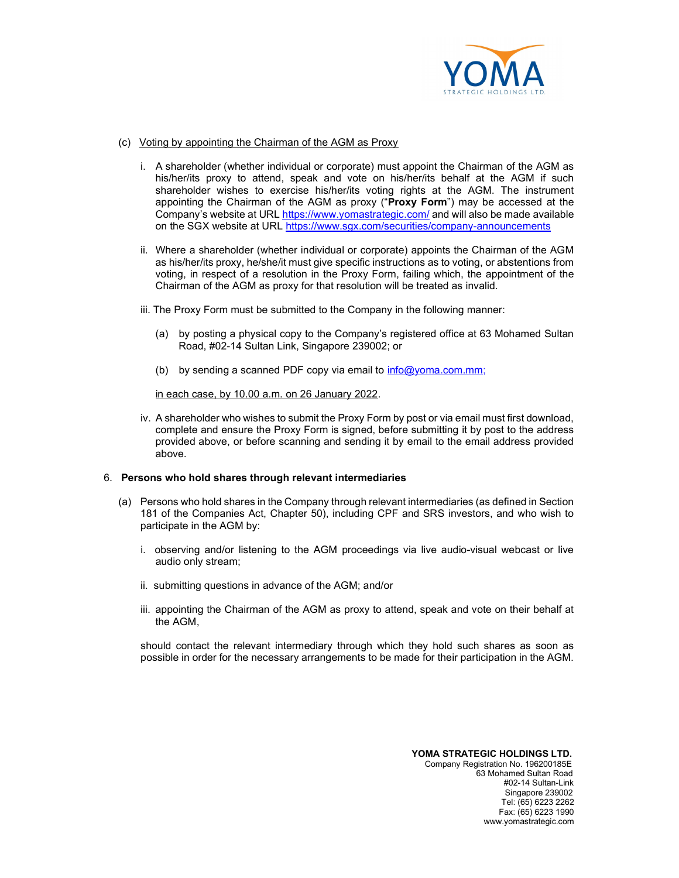

- (c) Voting by appointing the Chairman of the AGM as Proxy
	- i. A shareholder (whether individual or corporate) must appoint the Chairman of the AGM as his/her/its proxy to attend, speak and vote on his/her/its behalf at the AGM if such shareholder wishes to exercise his/her/its voting rights at the AGM. The instrument appointing the Chairman of the AGM as proxy ("Proxy Form") may be accessed at the Company's website at URL https://www.yomastrategic.com/ and will also be made available on the SGX website at URL https://www.sgx.com/securities/company-announcements
	- ii. Where a shareholder (whether individual or corporate) appoints the Chairman of the AGM as his/her/its proxy, he/she/it must give specific instructions as to voting, or abstentions from voting, in respect of a resolution in the Proxy Form, failing which, the appointment of the Chairman of the AGM as proxy for that resolution will be treated as invalid.
	- iii. The Proxy Form must be submitted to the Company in the following manner:
		- (a) by posting a physical copy to the Company's registered office at 63 Mohamed Sultan Road, #02-14 Sultan Link, Singapore 239002; or
		- (b) by sending a scanned PDF copy via email to  $info@yoma.com.mm$ ;

in each case, by 10.00 a.m. on 26 January 2022.

iv. A shareholder who wishes to submit the Proxy Form by post or via email must first download, complete and ensure the Proxy Form is signed, before submitting it by post to the address provided above, or before scanning and sending it by email to the email address provided above.

# 6. Persons who hold shares through relevant intermediaries

- (a) Persons who hold shares in the Company through relevant intermediaries (as defined in Section 181 of the Companies Act, Chapter 50), including CPF and SRS investors, and who wish to participate in the AGM by:
	- i. observing and/or listening to the AGM proceedings via live audio-visual webcast or live audio only stream;
	- ii. submitting questions in advance of the AGM; and/or
	- iii. appointing the Chairman of the AGM as proxy to attend, speak and vote on their behalf at the AGM,

should contact the relevant intermediary through which they hold such shares as soon as possible in order for the necessary arrangements to be made for their participation in the AGM.